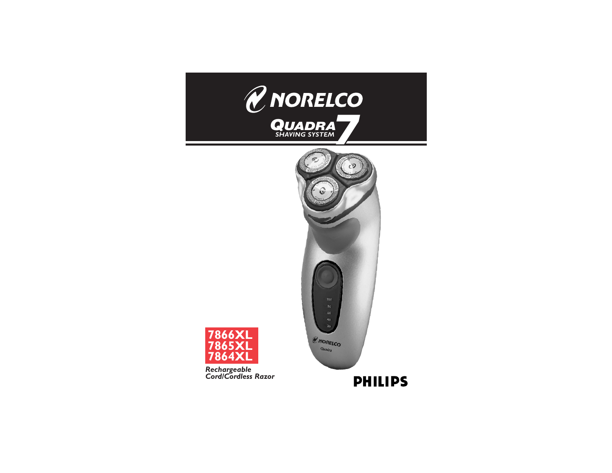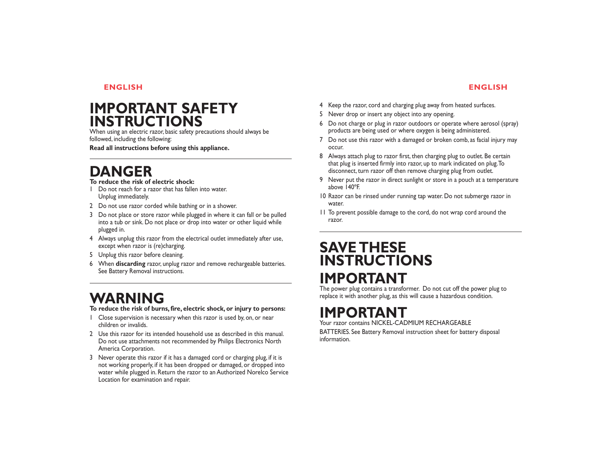# **IMPORTANT SAFETY INSTRUCTIONS**

When using an electric razor, basic safety precautions should always be followed, including the following:

**Read all instructions before using this appliance.**

# **DANGER**

### **To reduce the risk of electric shock:**

- 1 Do not reach for a razor that has fallen into water. Unplug immediately.
- 2 Do not use razor corded while bathing or in a shower.
- 3 Do not place or store razor while plugged in where it can fall or be pulled into a tub or sink. Do not place or drop into water or other liquid while plugged in.
- 4 Always unplug this razor from the electrical outlet immediately after use, except when razor is (re)charging.
- 5 Unplug this razor before cleaning.
- 6 When **discarding** razor, unplug razor and remove rechargeable batteries. See Battery Removal instructions.

# **WARNING**

### **To reduce the risk of burns, fire, electric shock, or injury to persons:**

- 1 Close supervision is necessary when this razor is used by, on, or near children or invalids.
- 2 Use this razor for its intended household use as described in this manual. Do not use attachments not recommended by Philips Electronics North America Corporation.
- 3 Never operate this razor if it has a damaged cord or charging plug, if it is not working properly, if it has been dropped or damaged, or dropped into water while plugged in. Return the razor to an Authorized Norelco Service Location for examination and repair.
- 4 Keep the razor, cord and charging plug away from heated surfaces.
- 5 Never drop or insert any object into any opening.
- 6 Do not charge or plug in razor outdoors or operate where aerosol (spray) products are being used or where oxygen is being administered.
- 7 Do not use this razor with a damaged or broken comb, as facial injury may occur.
- 8 Always attach plug to razor first, then charging plug to outlet. Be certain that plug is inserted firmly into razor, up to mark indicated on plug.To disconnect, turn razor off then remove charging plug from outlet.
- 9 Never put the razor in direct sunlight or store in a pouch at a temperature above 140ºF.
- 10 Razor can be rinsed under running tap water. Do not submerge razor in water.
- 11 To prevent possible damage to the cord, do not wrap cord around the razor.

# **SAVE THESE INSTRUCTIONS**

# **IMPORTANT**

The power plug contains a transformer. Do not cut off the power plug to replace it with another plug, as this will cause a hazardous condition.

# **IMPORTANT** Your razor contains NICKEL-CADMIUM RECHARGEABLE

BATTERIES. See Battery Removal instruction sheet for battery disposal information.

# **ENGLISH**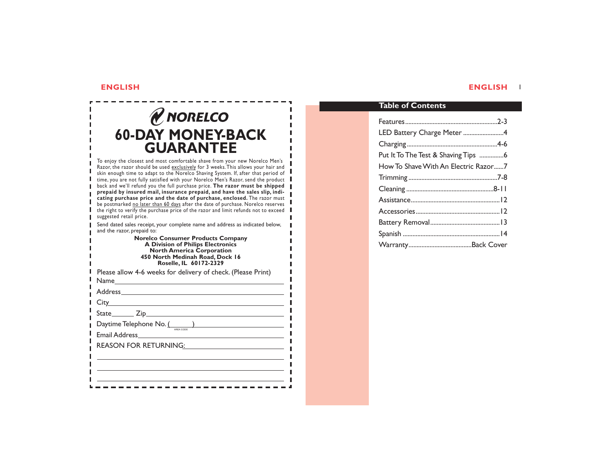п п

п п п

п

# *&* NORELCO **60-DAY MONEY-BACK GUARANTEE**

To enjoy the closest and most comfortable shave from your new Norelco Men's Razor, the razor should be used <u>exclusively</u> for 3 weeks. This allows your hair and skin enough time to adapt to the Norelco Shaving System. If, after that period of time, you are not fully satisfied with your Norelco Men's Razor, send the product **back and we'll refund you the full purchase price. The razor must be shipped prepaid by insured mail, insurance prepaid, and have the sales slip, indi**r. **cating purchase price and the date of purchase, enclosed.** The razor must be postmarked <u>no later than 60 days</u> after the date of purchase. Norelco reserves  $\blacksquare$  the right to verify the purchase price of the razor and limit refunds not to exceed  $\blacksquare$ suggested retail price.

Send dated sales receipt, your complete name and address as indicated below, and the razor, prepaid to: п.

> **Norelco Consumer Products Company A Division of Philips Electronics North America Corporation 450 North Medinah Road, Dock 16 Roselle, IL 60172-2329**

| Please allow 4-6 weeks for delivery of check. (Please Print) |
|--------------------------------------------------------------|
|                                                              |
|                                                              |
|                                                              |
|                                                              |
| Daytime Telephone No. (1998)                                 |
| AREA CODE                                                    |
| REASON FOR RETURNING:                                        |
|                                                              |
|                                                              |
|                                                              |
|                                                              |

ш a.

# **Table of Contents**

| LED Battery Charge Meter 4           |
|--------------------------------------|
|                                      |
| Put It To The Test & Shaving Tips 6  |
| How To Shave With An Electric Razor7 |
|                                      |
|                                      |
|                                      |
|                                      |
|                                      |
|                                      |
|                                      |

### **ENGLISH ENGLISH** 1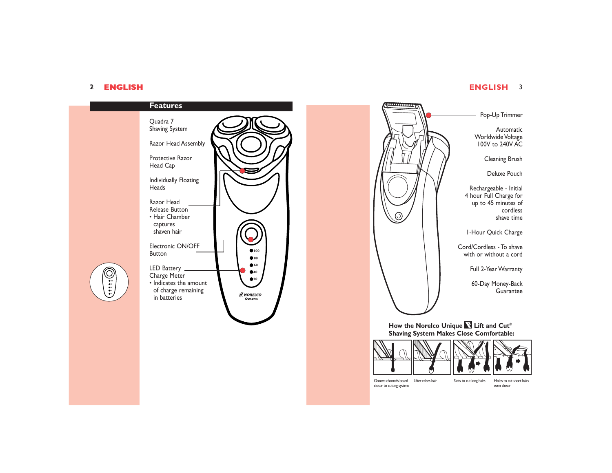### 2 **ENGLISH ENGLISH** 3 2 **ENGLISH**

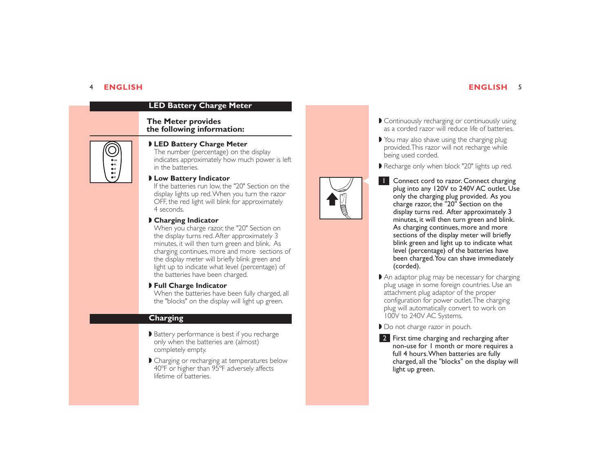### **ENGLISH** 5

# **LED Battery Charge Meter**

### **The Meter provides the following information:**



### ◗ **LED Battery Charge Meter**

The number (percentage) on the display indicates approximately how much power is left in the batteries.

### ◗ **Low Battery Indicator**

If the batteries run low, the "20" Section on the display lights up red.When you turn the razor OFF, the red light will blink for approximately 4 seconds.

### ◗ **Charging Indicator**

When you charge razor, the "20" Section on the display turns red.After approximately 3 minutes, it will then turn green and blink. As charging continues, more and more sections of the display meter will briefly blink green and light up to indicate what level (percentage) of the batteries have been charged.

◗ **Full Charge Indicator**

When the batteries have been fully charged, all the "blocks" on the display will light up green.

### **Charging**

- ◗ Battery performance is best if you recharge only when the batteries are (almost) completely empty.
- Charging or recharging at temperatures below 40ºF or higher than 95ºF adversely affects lifetime of batteries.
- ◗ Continuously recharging or continuously using as a corded razor will reduce life of batteries.
- ◗ You may also shave using the charging plug provided.This razor will not recharge while being used corded.

■ Recharge only when block "20" lights up red.

- Connect cord to razor. Connect charging plug into any 120V to 240V AC outlet. Use only the charging plug provided. As you charge razor, the "20" Section on the display turns red. After approximately 3 minutes, it will then turn green and blink. As charging continues, more and more sections of the display meter will briefly blink green and light up to indicate what level (percentage) of the batteries have been charged.You can shave immediately (corded). 1
- ◗ An adaptor plug may be necessary for charging plug usage in some foreign countries. Use an attachment plug adaptor of the proper configuration for power outlet.The charging plug will automatically convert to work on 100V to 240V AC Systems.

● Do not charge razor in pouch.

2 First time charging and recharging after non-use for 1 month or more requires a full 4 hours.When batteries are fully charged, all the "blocks" on the display will light up green.

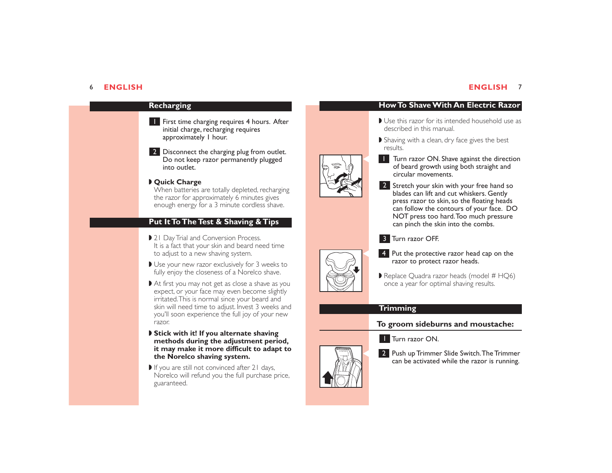### **ENGLISH** 7



## **How To Shave With An Electric Razor**

- Use this razor for its intended household use as described in this manual.
- ◗ Shaving with a clean, dry face gives the best results.



- **Turn razor ON. Shave against the direction** of beard growth using both straight and circular movements.
- 2 Stretch your skin with your free hand so blades can lift and cut whiskers. Gently press razor to skin, so the floating heads can follow the contours of your face. DO NOT press too hard.Too much pressure can pinch the skin into the combs.

### Turn razor OFF. 3



- **Put the protective razor head cap on the razor to protect razor heads.** 
	- Replace Quadra razor heads (model # HQ6) once a year for optimal shaving results.

### **Trimming**

### **To groom sideburns and moustache:**

**1** Turn razor ON.

**2** Push up Trimmer Slide Switch. The Trimmer can be activated while the razor is running.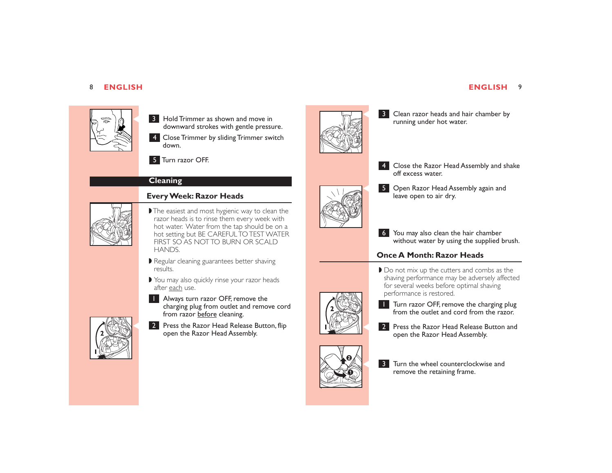

8 Hold Trimmer as shown and move in downward strokes with gentle pressure.

Close Trimmer by sliding Trimmer switch 4 down.



**B** Clean razor heads and hair chamber by running under hot water.



Close the Razor Head Assembly and shake 4 off excess water.

6 You may also clean the hair chamber

◗ Do not mix up the cutters and combs as the shaving performance may be adversely affected for several weeks before optimal shaving performance is restored.

- **Turn razor OFF, remove the charging plug** from the outlet and cord from the razor.
- **Press the Razor Head Release Button and open the Razor Head Assembly.**





S Open Razor Head Assembly again and leave open to air dry.

without water by using the supplied brush.

# **Once A Month: Razor Heads**















from razor before cleaning.



# Turn razor OFF. 5

# **Cleaning**

# **Every Week: Razor Heads**



### ■ The easiest and most hygienic way to clean the razor heads is to rinse them every week with hot water. Water from the tap should be on a hot setting but BE CAREFUL TO TEST WATER FIRST SO AS NOT TO BURN OR SCALD HANDS.

- Regular cleaning guarantees better shaving results.
- ◗ You may also quickly rinse your razor heads after each use.
- **Always turn razor OFF, remove the** charging plug from outlet and remove cord



2 Press the Razor Head Release Button, flip open the Razor Head Assembly.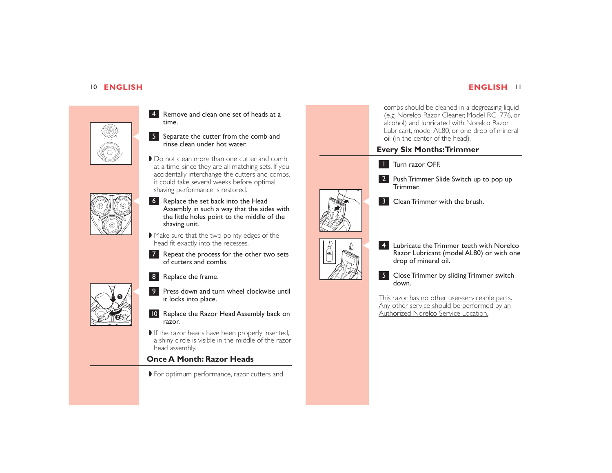



4 Remove and clean one set of heads at a time.

S Separate the cutter from the comb and<br>rinse clean under hot water.

■ Do not clean more than one cutter and comb at a time, since they are all matching sets. If you accidentally interchange the cutters and combs, it could take several weeks before optimal shaving performance is restored.



- Assembly in such a way that the sides with the little holes point to the middle of the shaving unit. 6 Replace the set back into the Head
- ◗ Make sure that the two pointy edges of the head fit exactly into the recesses.
- 7 Repeat the process for the other two sets of cutters and combs.



- 8 Replace the frame.
- **Press down and turn wheel clockwise until** it locks into place.
	- 10 Replace the Razor Head Assembly back on razor.
	- If the razor heads have been properly inserted, a shiny circle is visible in the middle of the razor head assembly.

# **Once A Month: Razor Heads**

◗ For optimum performance, razor cutters and

combs should be cleaned in a degreasing liquid (e.g. Norelco Razor Cleaner, Model RC1776, or alcohol) and lubricated with Norelco Razor Lubricant, model AL80, or one drop of mineral oil (in the center of the head).

# **Every Six Months:Trimmer**



2 Push Trimmer Slide Switch up to pop up Trimmer.



8 Clean Trimmer with the brush.



External Lubricate the Trimmer teeth with Norelco<br>Razor Lubricant (model AL80) or with one drop of mineral oil.

> 5 Close Trimmer by sliding Trimmer switch down.

This razor has no other user-serviceable parts. Any other service should be performed by an Authorized Norelco Service Location.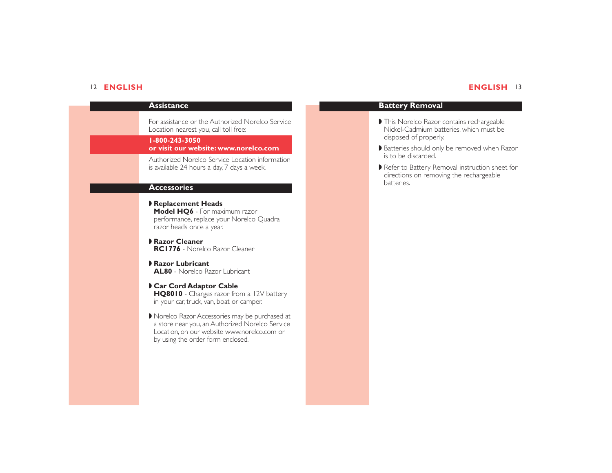## 12 **ENGLISH ENGLISH** 13

| Assistance                                                                                                                                                                           |
|--------------------------------------------------------------------------------------------------------------------------------------------------------------------------------------|
| For assistance or the Authorized Norelco Service<br>Location nearest you, call toll free:                                                                                            |
| 1-800-243-3050<br>or visit our website: www.norelco.com                                                                                                                              |
| Authorized Norelco Service Location information<br>is available 24 hours a day, 7 days a week.                                                                                       |
| <b>Accessories</b>                                                                                                                                                                   |
| Replacement Heads<br><b>Model HO6</b> - For maximum razor<br>performance, replace your Norelco Quadra<br>razor heads once a year.                                                    |
| Razor Cleaner<br><b>RC1776</b> - Norelco Razor Cleaner                                                                                                                               |
| <b>Razor Lubricant</b><br><b>AL80</b> - Norelco Razor Lubricant                                                                                                                      |
| Car Cord Adaptor Cable<br>HQ8010 - Charges razor from a 12V battery<br>in your car, truck, van, boat or camper.                                                                      |
| Norelco Razor Accessories may be purchased at<br>a store near you, an Authorized Norelco Service<br>Location, on our website www.norelco.com or<br>by using the order form enclosed. |
|                                                                                                                                                                                      |

# **Battery Removal**

- ◗ This Norelco Razor contains rechargeable Nickel-Cadmium batteries, which must be disposed of properly.
- ◗ Batteries should only be removed when Razor is to be discarded.
- ◗ Refer to Battery Removal instruction sheet for directions on removing the rechargeable batteries.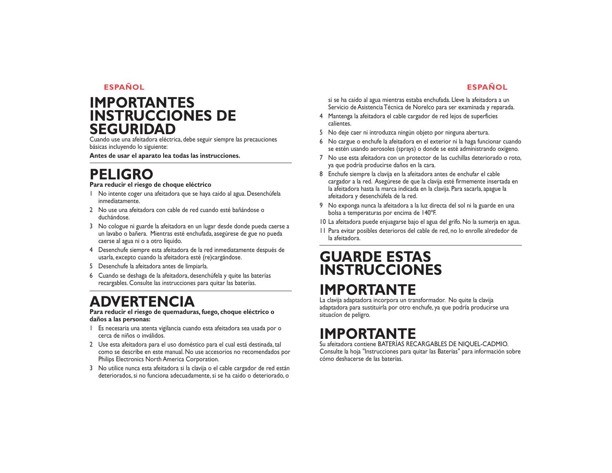# **IMPORTANTES INSTRUCCIONES DE SEGURIDAD**

Cuando use una afeitadora eléctrica, debe seguir siempre las precauciones básicas incluyendo lo siguiente:

**Antes de usar el aparato lea todas las instrucciones.**

# **PELIGRO**

### **Para reducir el riesgo de choque eléctrico**

- 1 No intente coger una afeitadora que se haya caido al agua. Desenchúfela inmediatamente.
- 2 No use una afeitadora con cable de red cuando esté bañándose o duchándose.
- 3 No cologue ni guarde la afeitadora en un lugar desde donde pueda caerse a un lavabo o bañera. Mientras esté enchufada, asegúrese de gue no pueda caerse al agua ni o a otro líquido.
- 4 Desenchufe siempre esta afeitadora de la red inmediatamente después de usarla, excepto cuando la afeitadora esté (re)cargándose.
- 5 Desenchufe la afeitadora antes de limpiarla.
- 6 Cuando se deshaga de la afeitadora, desenchúfela y quite las baterías recargables. Consulte las instrucciones para quitar las baterías.

# **ADVERTENCIA**

**Para reducir el riesgo de quemaduras, fuego, choque eléctrico o daños a las personas:**

- 1 Es necesaria una atenta vigilancia cuando esta afeitadora sea usada por o cerca de niños o inválidos.
- 2 Use esta afeitadora para el uso doméstico para el cual está destinada, tal como se describe en este manual. No use accesorios no recomendados por Philips Electronics North America Corporation.
- 3 No utilice nunca esta afeitadora si la clavija o el cable cargador de red están deteriorados, si no funciona adecuadamente, si se ha caido o deteriorado, <sup>o</sup>

si se ha caido al agua mientras estaba enchufada. Lleve la afeitadora a un Servicio de Asistencia Técnica de Norelco para ser examinada y reparada.

- 4 Mantenga la afeitadora el cable cargador de red lejos de superficies calientes.
- 5 No deje caer ni introduzca ningún objeto por ninguna abertura.
- 6 No cargue o enchufe la afeitadora en el exterior ni la haga funcionar cuando se estén usando aerosoles (sprays) o donde se esté administrando oxígeno.
- 7 No use esta afeitadora con un protector de las cuchillas deteriorado o roto, ya que podría producirse daños en la cara.
- 8 Enchufe siempre la clavija en la afeitadora antes de enchufar el cable cargador a la red. Asegúrese de que la clavija esté firmemente insertada en la afeitadora hasta la marca indicada en la clavija. Para sacarla, apague la afeitadora y desenchúfela de la red.
- 9 No exponga nunca la afeitadora a la luz directa del sol ni la guarde en una bolsa a temperaturas por encima de 140ºF.
- 10 La afeitadora puede enjuagarse bajo el agua del grifo. No la sumerja en agua.
- 11 Para evitar posibles deterioros del cable de red, no lo enrolle alrededor de la afeitadora.

# **GUARDE ESTAS INSTRUCCIONES**

# **IMPORTANTE**

La clavija adaptadora incorpora un transformador. No quite la clavija adaptadora para sustituirla por otro enchufe, ya que podría producirse una situacíon de peligro.

# **IMPORTANTE**

Su afeitadora contiene BATERÍAS RECARGABLES DE NIQUEL-CADMIO. Consulte la hoja "Instrucciones para quitar las Baterías" para información sobre cómo deshacerse de las baterías.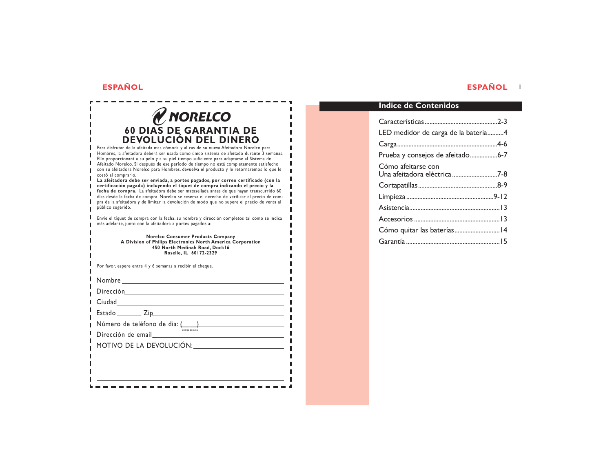$\sim$   $\sim$   $\sim$ 

----

# **ESPAÑOL ESPAÑOL** <sup>1</sup>

| V NORELCO                                                                                                                                                                                                                                                                                                                                                                                                                                                                                  |
|--------------------------------------------------------------------------------------------------------------------------------------------------------------------------------------------------------------------------------------------------------------------------------------------------------------------------------------------------------------------------------------------------------------------------------------------------------------------------------------------|
| 60 DIAS DE GARANTIA DE                                                                                                                                                                                                                                                                                                                                                                                                                                                                     |
| <b>DEVOLUCIÓN DEL DINERO</b>                                                                                                                                                                                                                                                                                                                                                                                                                                                               |
| Para disfrutar de la afeitada mas cómoda y al ras de su nueva Afeitadora Norelco para<br>Hombres, la afeitadora deberá ser usada como único sistema de afeitado durante 3 semanas.<br>Ello proporcionará a su pelo y a su piel tiempo suficiente para adaptarse al Sistema de<br>Afeitado Norelco. Si después de ese período de tiempo no está completamente satisfecho<br>con su afeitadora Norelco para Hombres, devuelva el producto y le retornaremos lo que le<br>costó al comprarlo. |
| La afeitadora debe ser enviada, a portes pagados, por correo certificado (con la<br>certificación pagada) incluyendo el tíquet de compra indicando el precio y la<br>fecha de compra. La afeitadora debe ser matasellada antes de que hayan transcurrido 60<br>días desde la fecha de compra. Norelco se reserva el derecho de verificar el precio de com-<br>pra de la afeitadora y de limitar la devolución de modo que no supere el precio de venta al<br>público sugerido.             |
| Envíe el tíquet de compra con la fecha, su nombre y dirección completos tal como se indica<br>más adelante, junto con la afeitadora a portes pagados a:                                                                                                                                                                                                                                                                                                                                    |
| <b>Norelco Consumer Products Company</b><br>A Division of Philips Electronics North America Corporation<br>450 North Medinah Road, Dock16<br>Roselle, IL 60172-2329                                                                                                                                                                                                                                                                                                                        |
| Por favor, espere entre 4 y 6 semanas a recibir el cheque.                                                                                                                                                                                                                                                                                                                                                                                                                                 |
|                                                                                                                                                                                                                                                                                                                                                                                                                                                                                            |
|                                                                                                                                                                                                                                                                                                                                                                                                                                                                                            |
| Ciudad Alexandria anno 1992 anno 1992 anno 1992 anno 1992 anno 1992 anno 1992 anno 1992 anno 1992 anno 1992 an                                                                                                                                                                                                                                                                                                                                                                             |
| Estado Ziperro de Santo de Santo de Santo de Santo de Santo de Santo de Santo de Santo de Santo de Santo de Sa                                                                                                                                                                                                                                                                                                                                                                             |
| Número de teléfono de dia: $\sum_{\text{Cocopo of a final}}$                                                                                                                                                                                                                                                                                                                                                                                                                               |
| Dirección de email                                                                                                                                                                                                                                                                                                                                                                                                                                                                         |
| MOTIVO DE LA DEVOLUCIÓN:                                                                                                                                                                                                                                                                                                                                                                                                                                                                   |
|                                                                                                                                                                                                                                                                                                                                                                                                                                                                                            |
|                                                                                                                                                                                                                                                                                                                                                                                                                                                                                            |
|                                                                                                                                                                                                                                                                                                                                                                                                                                                                                            |

# **Indice de Contenidos**

| LED medidor de carga de la bateria4 |  |
|-------------------------------------|--|
|                                     |  |
| Prueba y consejos de afeitado6-7    |  |
| Cómo afeitarse con                  |  |
| Una afeitadora eléctrica 7-8        |  |
|                                     |  |
|                                     |  |
|                                     |  |
|                                     |  |
|                                     |  |
|                                     |  |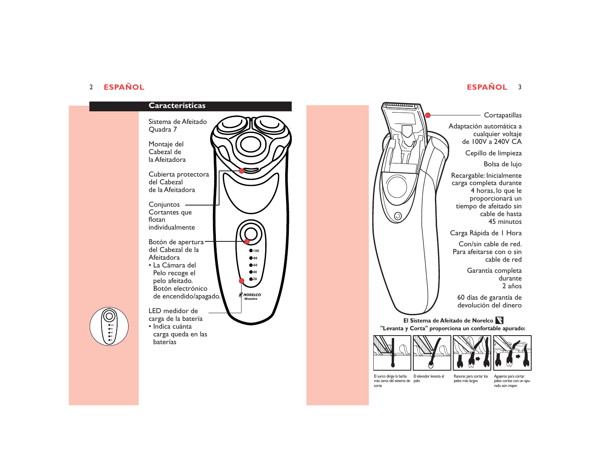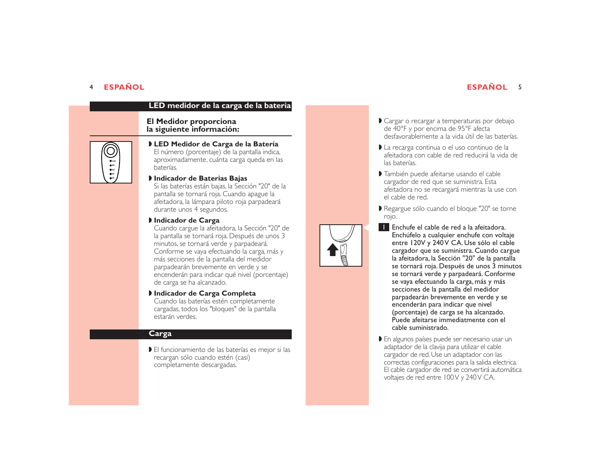# **ESPAÑOL** <sup>5</sup>

# **LED medidor de la carga de la bateria**

### **El Medidor proporciona la siguiente información:**



### ◗ **LED Medidor de Carga de la Batería** El número (porcentaje) de la pantalla indica, aproximadamente, cuánta carga queda en las baterías.

### ◗ **Indicador de Baterias Bajas**

Si las baterías están bajas, la Sección "20" de la pantalla se tornará roja. Cuando apague la afeitadora, la lámpara piloto roja parpadeará durante unos 4 segundos.

### ◗ **Indicador de Carga**

Cuando cargue la afeitadora, la Sección "20" de la pantalla se tornará roja. Después de unos 3 minutos, se tornará verde y parpadeará. Conforme se vaya efectuando la carga, más y más secciones de la pantalla del medidor parpadearán brevemente en verde y se encenderán para indicar qué nivel (porcentaje) de carga se ha alcanzado.

### ◗ **Indicador de Carga Completa** Cuando las baterías estén completamente cargadas, todos los "bloques" de la pantalla estarán verdes.

## **Carga**

■ El funcionamiento de las baterías es mejor si las recargan sólo cuando estén (casi) completamente descargadas.

- ◗ Cargar o recargar a temperaturas por debajo de 40°F y por encima de 95°F afecta desfavorablemente a la vida útil de las baterías.
- ◗ La recarga continua o el uso continuo de la afeitadora con cable de red reducirá la vida de las baterías.
- ◗ También puede afeitarse usando el cable cargador de red que se suministra. Esta afeitadora no se recargará mientras la use con el cable de red.
- ◗ Regargue sólo cuando el bloque "20" se torne rojo.
- Enchufe el cable de red a la afeitadora.<br>1991 Enchúfelo a cualquier enchufe con voltaje entre 120V y 240 V CA. Use sólo el cable cargador que se suministra. Cuando cargue la afeitadora, la Sección "20" de la pantalla se tornará roja. Después de unos 3 minutos se tornará verde y parpadeará. Conforme se vaya efectuando la carga, más y más secciones de la pantalla del medidor parpadearán brevemente en verde y se encenderán para indicar que nivel (porcentaje) de carga se ha alcanzado. Puede afeitarse immediatmente con el cable suministrado.
	- En algunos países puede ser necesario usar un adaptador de la clavija para utilizar el cable cargador de red. Use un adaptador con las correctas configuraciones para la salida electrica. El cable cargador de red se convertirá automática voltajes de red entre 100 V y 240 V CA.

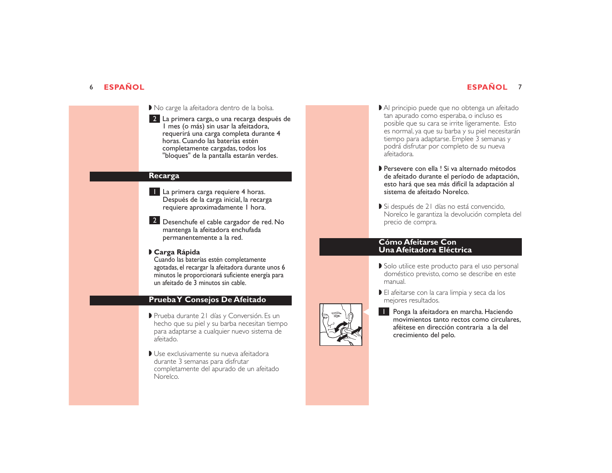- ◗ No carge la afeitadora dentro de la bolsa.
- La primera carga, o una recarga después de 2 1 mes (o más) sin usar la afeitadora, requerirá una carga completa durante 4 horas. Cuando las baterías estén completamente cargadas, todos los "bloques" de la pantalla estarán verdes.

### **Recarga**

- **La** primera carga requiere 4 horas. Después de la carga inicial, la recarga requiere aproximadamente 1 hora.
- 2 Desenchufe el cable cargador de red. No mantenga la afeitadora enchufada permanentemente a la red.

### ◗ **Carga Rápida**

Cuando las baterías estén completamente agotadas, el recargar la afeitadora durante unos 6 minutos le proporcionará suficiente energía para un afeitado de 3 minutos sin cable.

### **Prueba Y Consejos De Afeitado**

- ◗ Prueba durante 21 días y Conversión. Es un hecho que su piel y su barba necesitan tiempo para adaptarse a cualquier nuevo sistema de afeitado.
- ◗ Use exclusivamente su nueva afeitadora durante 3 semanas para disfrutar completamente del apurado de un afeitado Norelco.
- Al principio puede que no obtenga un afeitado tan apurado como esperaba, o incluso es posible que su cara se irrite ligeramente. Esto es normal, ya que su barba y su piel necesitarán tiempo para adaptarse. Emplee 3 semanas y podrá disfrutar por completo de su nueva afeitadora.
- ◗ Persevere con ella ! Si va alternado métodos de afeitado durante el período de adaptación, esto hará que sea más difícil la adaptación al sistema de afeitado Norelco.
- Si después de 21 días no está convencido, Norelco le garantiza la devolución completa del precio de compra.

### **Cómo Afeitarse Con Una Afeitadora Eléctrica**

- ◗ Solo utilice este producto para el uso personal doméstico previsto, como se describe en este manual.
- ◗ El afeitarse con la cara limpia y seca da los mejores resultados.
- **C Ponga la afeitadora en marcha. Haciendo movimientos tanto rectos como circulares,** aféitese en dirección contraria a la del crecimiento del pelo.

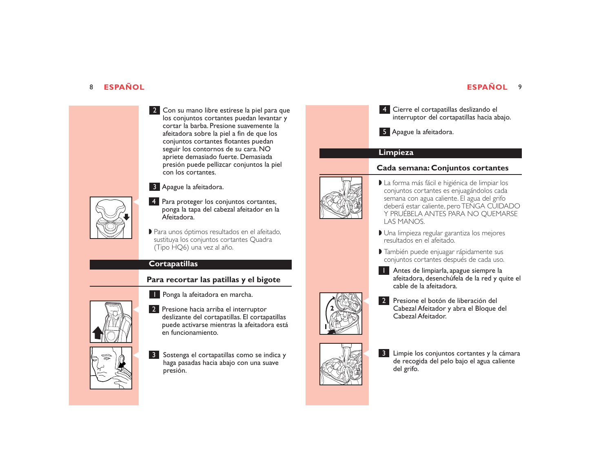# 8 **ESPAÑOL ESPAÑOL** 9

Con su mano libre estírese la piel para que 2los conjuntos cortantes puedan levantar y cortar la barba. Presione suavemente la afeitadora sobre la piel a fin de que los conjuntos cortantes flotantes puedan seguir los contornos de su cara. NO apriete demasiado fuerte. Demasiada presión puede pellizcar conjuntos la piel con los cortantes.

## Apague la afeitadora. 3

**C** Para proteger los conjuntos cortantes, ponga la tapa del cabezal afeitador en la Afeitadora.

> ■ Para unos óptimos resultados en el afeitado, sustituya los conjuntos cortantes Quadra (Tipo HQ6) una vez al año.

## **Cortapatillas**

# **Para recortar las patillas y el bigote**



**Ponga la afeitadora en marcha.** 

**2** Presione hacia arriba el interruptor<br>deslizante del cortapatillas. El cortapatillas puede activarse mientras la afeitadora está en funcionamiento.



8 Sostenga el cortapatillas como se indica y haga pasadas hacia abajo con una suave presión.

Cierre el cortapatillas deslizando el 4 interruptor del cortapatillas hacia abajo.

Apague la afeitadora. 5

### **Limpieza**

## **Cada semana: Conjuntos cortantes**



- ◗ La forma más fácil e higiénica de limpiar los conjuntos cortantes es enjuagándolos cada semana con agua caliente. El agua del grifo<br>deberá estar caliente, pero TENGA CUIDADO Y PRUÉBELA ANTES PARA NO QUEMARSE LAS MANOS.
- ◗ Una limpieza regular garantiza los mejores resultados en el afeitado.
- ◗ También puede enjuagar rápidamente sus conjuntos cortantes después de cada uso.

Antes de limpiarla, apague siempre la 1 afeitadora, desenchúfela de la red y quite el cable de la afeitadora.



<sup>C</sup> Presione el botón de liberación del Cabezal Afeitador y abra el Bloque del Cabezal Afeitador. 2



<sup>3</sup> Limpie los conjuntos cortantes y la cámara<br>de recogida del pelo bajo el agua caliente del grifo.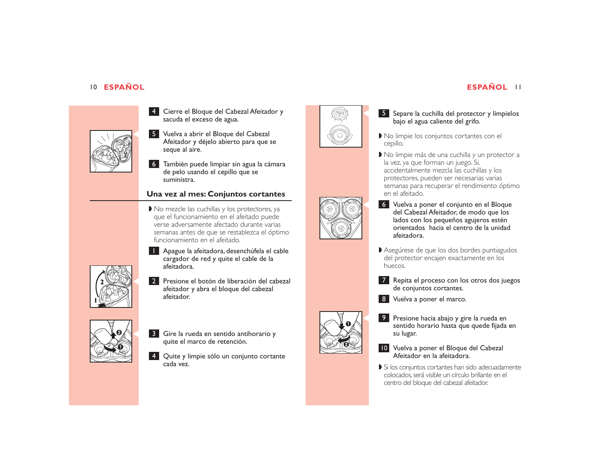

- Cierre el Bloque del Cabezal Afeitador y 4 sacuda el exceso de agua.
- Vuelva a abrir el Bloque del Cabezal 5 Afeitador y déjelo abierto para que se seque al aire.
- También puede limpiar sin agua la cámara 6 de pelo usando el cepillo que se suministra.

## **Una vez al mes: Conjuntos cortantes**

◗ No mezcle las cuchillas y los protectores, ya que el funcionamiento en el afeitado puede verse adversamente afectado durante varias semanas antes de que se restablezca el óptimo funcionamiento en el afeitado.

Apague la afeitadora, desenchúfela el cable 1 cargador de red y quite el cable de la afeitadora.



**2** Presione el botón de liberación del cabezal afeitador y abra el bloque del cabezal afeitador.



- **C G** Gire la rueda en sentido antihorario y quite el marco de retención.
	- Quite y limpie sólo un conjunto cortante 4 cada vez.



# 5 Separe la cuchilla del protector y límpielos<br>bajo el agua caliente del grifo.

- ◗ No limpie los conjuntos cortantes con el cepillo.
- ◗ No limpie más de una cuchilla y un protector a la vez, ya que forman un juego. Si, accidentalmente mezcla las cuchillas y los protectores, pueden ser necesarias varias semanas para recuperar el rendimiento óptimo en el afeitado.
- C
	- Vuelva a poner el conjunto en el Bloque 6 del Cabezal Afeitador, de modo que los lados con los pequeños agujeros estén orientados hacia el centro de la unidad afeitadora.
	- ◗ Asegúrese de que los dos bordes puntiagudos del protector encajen exactamente en los huecos.
	- Repita el proceso con los otros dos juegos 7 de conjuntos cortantes.
	- Vuelva a poner el marco. 8



- **1888 Presione hacia abajo y gire la rueda en sentido horario hasta que quede fijada en** su lugar.
	- 10 Vuelva a poner el Bloque del Cabezal Afeitador en la afeitadora.
	- ◗ Si los conjuntos cortantes han sido adecuadamente colocados,será visible un círculo brillante en el centro del bloque del cabezal afeitador.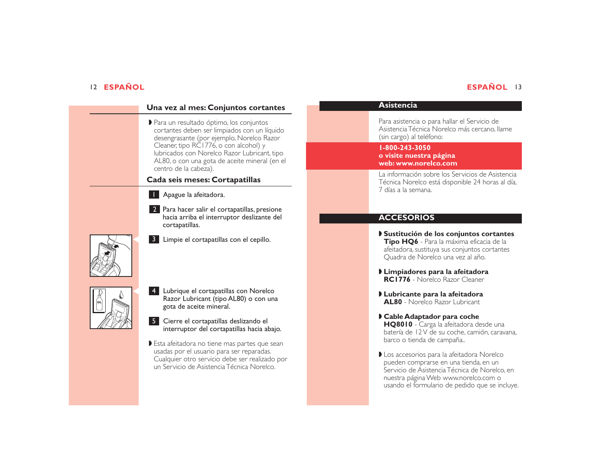# **ESPAÑOL** 13

| Una vez al mes: Conjuntos cortantes                                                                                                                                                                                                                                                                      |  |
|----------------------------------------------------------------------------------------------------------------------------------------------------------------------------------------------------------------------------------------------------------------------------------------------------------|--|
| Para un resultado óptimo, los conjuntos<br>cortantes deben ser limpiados con un líquido<br>desengrasante (por ejemplo, Norelco Razor<br>Cleaner, tipo RC1776, o con alcohol) y<br>Iubricados con Norelco Razor Lubricant, tipo<br>AL80, o con una gota de aceite mineral (en el<br>centro de la cabeza). |  |
| Cada seis meses: Cortapatillas                                                                                                                                                                                                                                                                           |  |
| Apague la afeitadora.                                                                                                                                                                                                                                                                                    |  |
| 2 Para hacer salir el cortapatillas, presione<br>hacia arriba el interruptor deslizante del<br>cortapatillas.                                                                                                                                                                                            |  |
| 3 Limpie el cortapatillas con el cepillo.                                                                                                                                                                                                                                                                |  |
| $\overline{4}$<br>Lubrique el cortapatillas con Norelco<br>Razor Lubricant (tipo AL80) o con una<br>gota de aceite mineral.                                                                                                                                                                              |  |
| 5 <sub>1</sub><br>Cierre el cortapatillas deslizando el<br>interruptor del cortapatillas hacia abajo.                                                                                                                                                                                                    |  |
| Esta afeitadora no tiene mas partes que sean<br>usadas por el usuario para ser reparadas.<br>Cualquier otro servicio debe ser realizado por<br>un Servicio de Asistencia Técnica Norelco.                                                                                                                |  |

# **Asistencia**

Para asistencia o para hallar el Servicio de Asistencia Técnica Norelco más cercano, llame (sin cargo) al teléfono:

### **1-800-243-3050 o visite nuestra página**

**web: www.norelco.com**

La información sobre los Servicios de Asistencia Técnica Norelco está disponible 24 horas al día, 7 días a la semana.

# **ACCESORIOS**

- ◗ **Sustitución de los conjuntos cortantes Tipo HQ6** - Para la máxima eficacia de la afeitadora, sustituya sus conjuntos cortantes Quadra de Norelco una vez al año.
- ◗ **Limpiadores para la afeitadora RC1776** - Norelco Razor Cleaner
- ◗ **Lubricante para la afeitadora AL80** Norelco Razor Lubricant
- ◗ **Cable Adaptador para coche HQ8010** - Carga la afeitadora desde una batería de 12 V de su coche, camión, caravana, barco o tienda de campaña..
- ◗ Los accesorios para la afeitadora Norelco pueden comprarse en una tienda, en un Servicio de Asistencia Técnica de Norelco, en nuestra página Web www.norelco.com o usando el formulario de pedido que se incluye.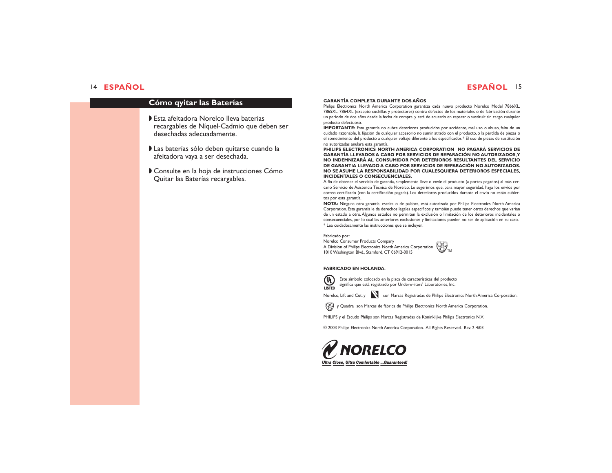## **ESPAÑOL** <sup>15</sup>

### **Cómo qyitar las Baterías**

- ◗ Esta afeitadora Norelco lleva baterías recargables de Níquel-Cadmio que deben ser desechadas adecuadamente.
- ◗ Las baterías sólo deben quitarse cuando la afeitadora vaya a ser desechada.
- ◗ Consulte en la hoja de instrucciones Cómo Quitar las Baterías recargables.

### **GARANTÍA COMPLETA DURANTE DOS AÑOS**

Philips Electronics North America Corporation garantiza cada nuevo producto Norelco Model 7866XL, 7865XL, 7864XL (excepto cuchillas y protectores) contra defectos de los materiales o de fabricación durante un período de dos años desde la fecha de compra, y está de acuerdo en reparar o sustituir sin cargo cualquier producto defectuoso.

**IMPORTANTE:** Esta garantía no cubre deterioros producidos por accidente, mal uso o abuso, falta de un cuidado razonable, la fijación de cualquier accesorio no suministrado con el producto, o la pérdida de piezas o el sometimiento del producto a cualquier voltaje diferente a los especificados.\* El uso de piezas de sustitución no autorizadas anulará esta garantía.

**PHILIPS ELECTRONICS NORTH AMERICA CORPORATION NO PAGARÁ SERVICIOS DE GARANTÍA LLEVADOS A CABO POR SERVICIOS DE REPARACIÓN NO AUTORIZADOS,Y NO INDEMNIZARÁ AL CONSUMIDOR POR DETERIOROS RESULTANTES DEL SERVICIO DE GARANTIA LLEVADO A CABO POR SERVICIOS DE REPARACIÓN NO AUTORIZADOS. NO SE ASUME LA RESPONSABILIDAD POR CUALESQUIERA DETERIOROS ESPECIALES, INCIDENTALES O CONSECUENCIALES.**

A fin de obtener el servicio de garantía, simplemente lleve o envíe el producto (a portes pagados) al más cercano Servicio de Asistencia Técnica de Norelco. Le sugerimos que, para mayor seguridad, haga los envíos por correo certificado (con la certificación pagada). Los deterioros producidos durante el envío no están cubiertos por esta garantía.

**NOTA:** Ninguna otra garantía, escrita o de palabra, está autorizada por Philips Electronics North America Corporation. Esta garantía le da derechos legales específicos y también puede tener otros derechos que varían de un estado a otro. Algunos estados no permiten la exclusión o limitación de los deterioros incidentales o consecuenciales, por lo cual las anteriores exclusiones y limitaciones pueden no ser de aplicación en su caso. \* Lea cuidadosamente las instrucciones que se incluyen.

Fabricado por:

Norelco Consumer Products Company A Division of Philips Electronics North America Corporation 1010 Washington Blvd., Stamford, CT 06912-0015



### **FABRICADO EN HOLANDA.**



Este símbolo colocado en la placa de características del producto significa que está registrado por Underwriters' Laboratories, Inc. ® **LISTED**

Norelco, Lift and Cut, y **N** son Marcas Registradas de Philips Electronics North America Corporation.

 $\bigotimes$  y Quadra son Marcas de fábrica de Philips Electronics North America Corporation.

PHILIPS y el Escudo Philips son Marcas Registradas de Koninklijke Philips Electronics N.V.

© 2003 Philips Electronics North America Corporation. All Rights Reserved. Rev. 2-4/03